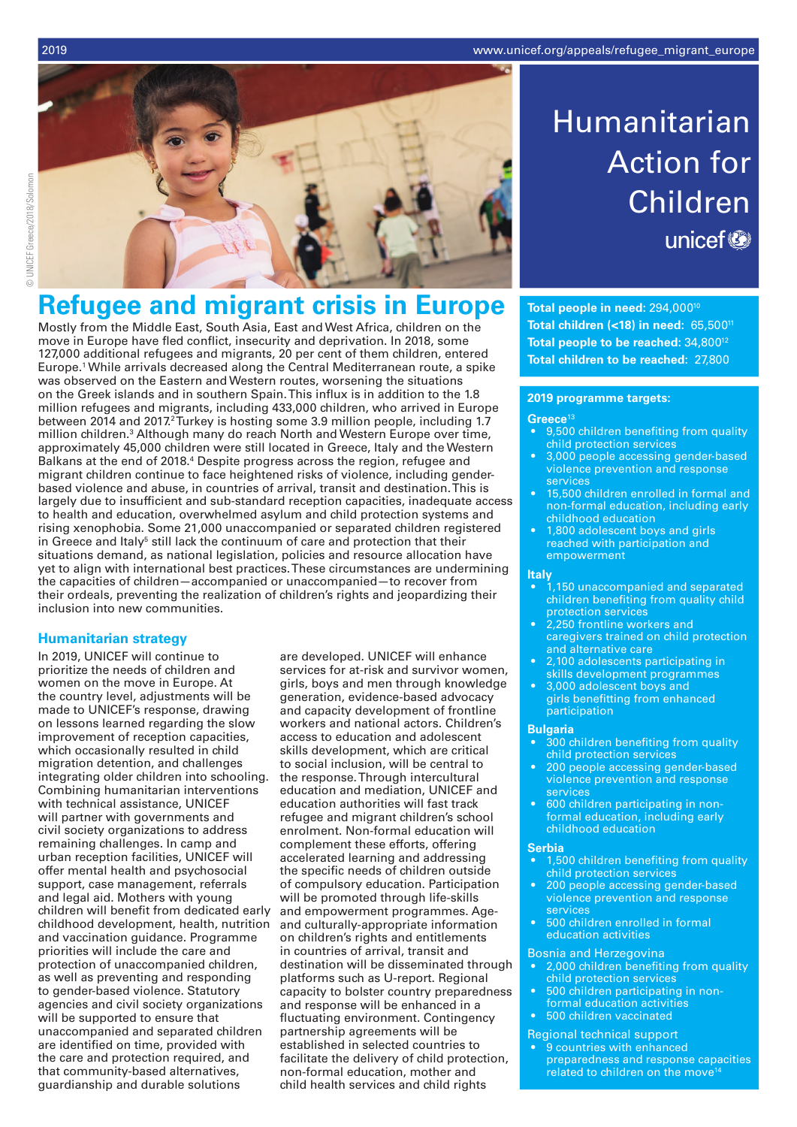

# **Refugee and migrant crisis in Europe**

Mostly from the Middle East, South Asia, East and West Africa, children on the move in Europe have fled conflict, insecurity and deprivation. In 2018, some 127,000 additional refugees and migrants, 20 per cent of them children, entered Europe.1 While arrivals decreased along the Central Mediterranean route, a spike was observed on the Eastern and Western routes, worsening the situations on the Greek islands and in southern Spain. This influx is in addition to the 1.8 million refugees and migrants, including 433,000 children, who arrived in Europe between 2014 and 2017.<sup>2</sup> Turkey is hosting some 3.9 million people, including 1.7 million children.<sup>3</sup> Although many do reach North and Western Europe over time, approximately 45,000 children were still located in Greece, Italy and the Western Balkans at the end of 2018.4 Despite progress across the region, refugee and migrant children continue to face heightened risks of violence, including genderbased violence and abuse, in countries of arrival, transit and destination. This is largely due to insufficient and sub-standard reception capacities, inadequate access to health and education, overwhelmed asylum and child protection systems and rising xenophobia. Some 21,000 unaccompanied or separated children registered in Greece and Italy<sup>5</sup> still lack the continuum of care and protection that their situations demand, as national legislation, policies and resource allocation have yet to align with international best practices. These circumstances are undermining the capacities of children—accompanied or unaccompanied—to recover from their ordeals, preventing the realization of children's rights and jeopardizing their inclusion into new communities.

## **Humanitarian strategy**

In 2019, UNICEF will continue to prioritize the needs of children and women on the move in Europe. At the country level, adjustments will be made to UNICEF's response, drawing on lessons learned regarding the slow improvement of reception capacities, which occasionally resulted in child migration detention, and challenges integrating older children into schooling. Combining humanitarian interventions with technical assistance, UNICEF will partner with governments and civil society organizations to address remaining challenges. In camp and urban reception facilities, UNICEF will offer mental health and psychosocial support, case management, referrals and legal aid. Mothers with young children will benefit from dedicated early childhood development, health, nutrition and vaccination guidance. Programme priorities will include the care and protection of unaccompanied children, as well as preventing and responding to gender-based violence. Statutory agencies and civil society organizations will be supported to ensure that unaccompanied and separated children are identified on time, provided with the care and protection required, and that community-based alternatives, guardianship and durable solutions

are developed. UNICEF will enhance services for at-risk and survivor women, girls, boys and men through knowledge generation, evidence-based advocacy and capacity development of frontline workers and national actors. Children's access to education and adolescent skills development, which are critical to social inclusion, will be central to the response. Through intercultural education and mediation, UNICEF and education authorities will fast track refugee and migrant children's school enrolment. Non-formal education will complement these efforts, offering accelerated learning and addressing the specific needs of children outside of compulsory education. Participation will be promoted through life-skills and empowerment programmes. Ageand culturally-appropriate information on children's rights and entitlements in countries of arrival, transit and destination will be disseminated through platforms such as U-report. Regional capacity to bolster country preparedness and response will be enhanced in a fluctuating environment. Contingency partnership agreements will be established in selected countries to facilitate the delivery of child protection, non-formal education, mother and child health services and child rights

# Humanitarian Action for Children unicef<sup>®</sup>

**Total people in need:** 294,00010 **Total children (<18) in need:** 65,50011 Total people to be reached: 34,800<sup>12</sup> **Total children to be reached:** 27,800

#### **2019 programme targets:**

#### **Greece**<sup>13</sup>

- 9,500 children benefiting from quality child protection services
- 3,000 people accessing gender-based violence prevention and response services
- 15,500 children enrolled in formal and non-formal education, including early childhood education
- 1,800 adolescent boys and girls reached with participation and empowerment

#### **Italy**

- 1,150 unaccompanied and separated children benefiting from quality child protection services
- 2,250 frontline workers and caregivers trained on child protection and alternative care
- 2,100 adolescents participating in skills development programmes
- 3,000 adolescent boys and girls benefitting from enhanced participation

#### **Bulgaria**

- 300 children benefiting from quality child protection services
- 200 people accessing gender-based violence prevention and response services
- 600 children participating in nonformal education, including early childhood education

#### **Serbia**

- 1,500 children benefiting from quality child protection services
- 200 people accessing gender-based violence prevention and response services
- 500 children enrolled in formal education activities

#### Bosnia and Herzegovina

- 2,000 children benefiting from quality child protection services
- 500 children participating in nonformal education activities
- 500 children vaccinated

### Regional technical support

9 countries with enhanced preparedness and response capacities related to children on the move<sup>14</sup>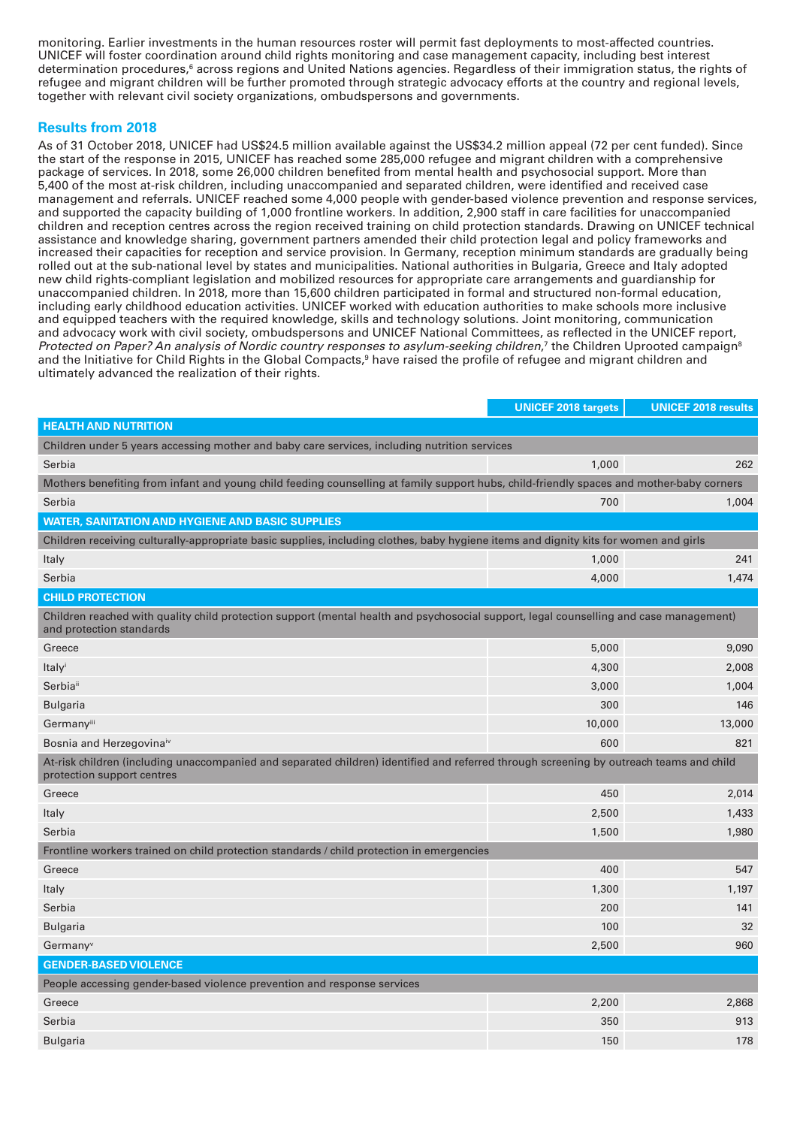monitoring. Earlier investments in the human resources roster will permit fast deployments to most-affected countries. UNICEF will foster coordination around child rights monitoring and case management capacity, including best interest determination procedures,<sup>6</sup> across regions and United Nations agencies. Regardless of their immigration status, the rights of refugee and migrant children will be further promoted through strategic advocacy efforts at the country and regional levels, together with relevant civil society organizations, ombudspersons and governments.

# **Results from 2018**

As of 31 October 2018, UNICEF had US\$24.5 million available against the US\$34.2 million appeal (72 per cent funded). Since the start of the response in 2015, UNICEF has reached some 285,000 refugee and migrant children with a comprehensive package of services. In 2018, some 26,000 children benefited from mental health and psychosocial support. More than 5,400 of the most at-risk children, including unaccompanied and separated children, were identified and received case management and referrals. UNICEF reached some 4,000 people with gender-based violence prevention and response services, and supported the capacity building of 1,000 frontline workers. In addition, 2,900 staff in care facilities for unaccompanied children and reception centres across the region received training on child protection standards. Drawing on UNICEF technical assistance and knowledge sharing, government partners amended their child protection legal and policy frameworks and increased their capacities for reception and service provision. In Germany, reception minimum standards are gradually being rolled out at the sub-national level by states and municipalities. National authorities in Bulgaria, Greece and Italy adopted new child rights-compliant legislation and mobilized resources for appropriate care arrangements and guardianship for unaccompanied children. In 2018, more than 15,600 children participated in formal and structured non-formal education, including early childhood education activities. UNICEF worked with education authorities to make schools more inclusive and equipped teachers with the required knowledge, skills and technology solutions. Joint monitoring, communication and advocacy work with civil society, ombudspersons and UNICEF National Committees, as reflected in the UNICEF report, Protected on Paper? An analysis of Nordic country responses to asylum-seeking children,<sup>7</sup> the Children Uprooted campaign<sup>8</sup> and the Initiative for Child Rights in the Global Compacts,<sup>9</sup> have raised the profile of refugee and migrant children and ultimately advanced the realization of their rights.

|                                                                                                                                                                       | <b>UNICEF 2018 targets</b> | <b>UNICEF 2018 results</b> |  |  |  |  |  |  |
|-----------------------------------------------------------------------------------------------------------------------------------------------------------------------|----------------------------|----------------------------|--|--|--|--|--|--|
| <b>HEALTH AND NUTRITION</b>                                                                                                                                           |                            |                            |  |  |  |  |  |  |
| Children under 5 years accessing mother and baby care services, including nutrition services                                                                          |                            |                            |  |  |  |  |  |  |
| Serbia                                                                                                                                                                | 1,000                      | 262                        |  |  |  |  |  |  |
| Mothers benefiting from infant and young child feeding counselling at family support hubs, child-friendly spaces and mother-baby corners                              |                            |                            |  |  |  |  |  |  |
| Serbia                                                                                                                                                                | 700                        | 1,004                      |  |  |  |  |  |  |
| <b>WATER, SANITATION AND HYGIENE AND BASIC SUPPLIES</b>                                                                                                               |                            |                            |  |  |  |  |  |  |
| Children receiving culturally-appropriate basic supplies, including clothes, baby hygiene items and dignity kits for women and girls                                  |                            |                            |  |  |  |  |  |  |
| Italy                                                                                                                                                                 | 1,000                      | 241                        |  |  |  |  |  |  |
| Serbia                                                                                                                                                                | 4,000                      | 1,474                      |  |  |  |  |  |  |
| <b>CHILD PROTECTION</b>                                                                                                                                               |                            |                            |  |  |  |  |  |  |
| Children reached with quality child protection support (mental health and psychosocial support, legal counselling and case management)<br>and protection standards    |                            |                            |  |  |  |  |  |  |
| Greece                                                                                                                                                                | 5,000                      | 9,090                      |  |  |  |  |  |  |
| Italyi                                                                                                                                                                | 4,300                      | 2,008                      |  |  |  |  |  |  |
| Serbiai                                                                                                                                                               | 3,000                      | 1,004                      |  |  |  |  |  |  |
| <b>Bulgaria</b>                                                                                                                                                       | 300                        | 146                        |  |  |  |  |  |  |
| Germanyiii                                                                                                                                                            | 10,000                     | 13,000                     |  |  |  |  |  |  |
| Bosnia and Herzegovina <sup>iv</sup>                                                                                                                                  | 600                        | 821                        |  |  |  |  |  |  |
| At-risk children (including unaccompanied and separated children) identified and referred through screening by outreach teams and child<br>protection support centres |                            |                            |  |  |  |  |  |  |
| Greece                                                                                                                                                                | 450                        | 2,014                      |  |  |  |  |  |  |
| Italy                                                                                                                                                                 | 2,500                      | 1,433                      |  |  |  |  |  |  |
| Serbia                                                                                                                                                                | 1,500                      | 1,980                      |  |  |  |  |  |  |
| Frontline workers trained on child protection standards / child protection in emergencies                                                                             |                            |                            |  |  |  |  |  |  |
| Greece                                                                                                                                                                | 400                        | 547                        |  |  |  |  |  |  |
| Italy                                                                                                                                                                 | 1,300                      | 1,197                      |  |  |  |  |  |  |
| Serbia                                                                                                                                                                | 200                        | 141                        |  |  |  |  |  |  |
| <b>Bulgaria</b>                                                                                                                                                       | 100                        | 32                         |  |  |  |  |  |  |
| Germany <sup>v</sup>                                                                                                                                                  | 2,500                      | 960                        |  |  |  |  |  |  |
| <b>GENDER-BASED VIOLENCE</b>                                                                                                                                          |                            |                            |  |  |  |  |  |  |
| People accessing gender-based violence prevention and response services                                                                                               |                            |                            |  |  |  |  |  |  |
| Greece                                                                                                                                                                | 2,200                      | 2,868                      |  |  |  |  |  |  |
| Serbia                                                                                                                                                                | 350                        | 913                        |  |  |  |  |  |  |
| <b>Bulgaria</b>                                                                                                                                                       | 150                        | 178                        |  |  |  |  |  |  |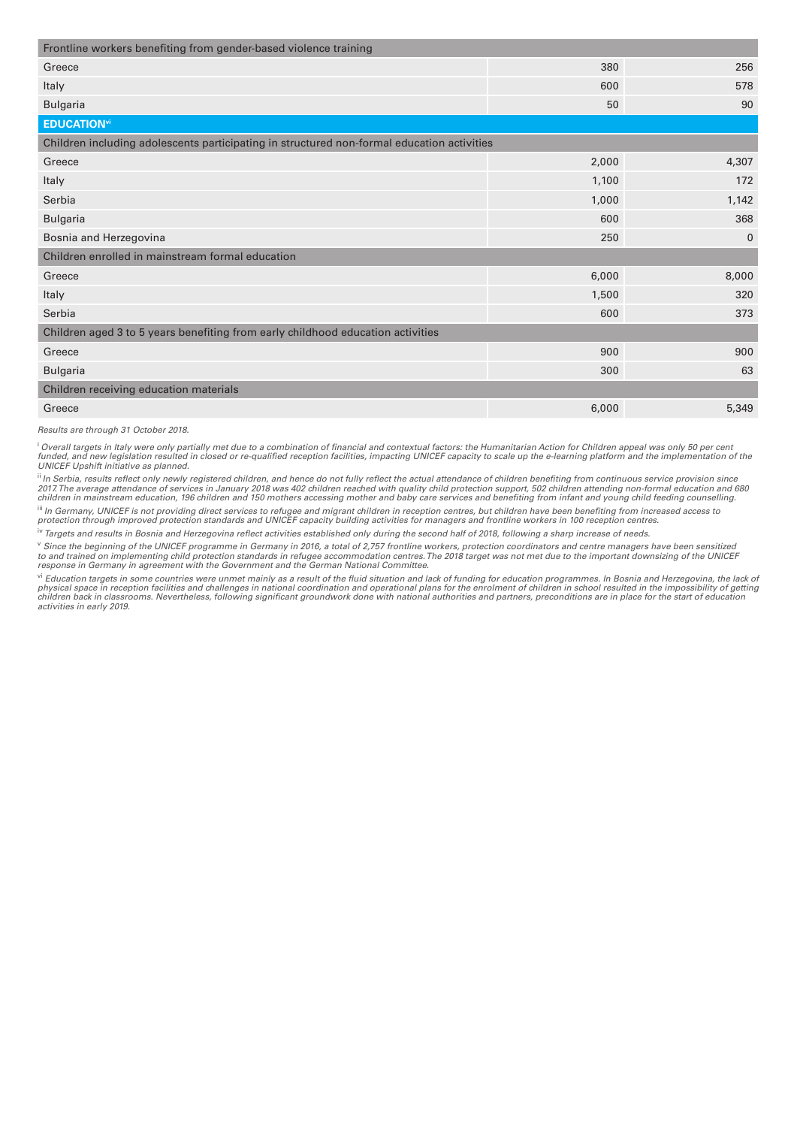| Frontline workers benefiting from gender-based violence training                           |              |  |  |  |  |  |  |
|--------------------------------------------------------------------------------------------|--------------|--|--|--|--|--|--|
| 380                                                                                        | 256          |  |  |  |  |  |  |
| 600                                                                                        | 578          |  |  |  |  |  |  |
| 50                                                                                         | 90           |  |  |  |  |  |  |
| <b>EDUCATION</b> vi                                                                        |              |  |  |  |  |  |  |
| Children including adolescents participating in structured non-formal education activities |              |  |  |  |  |  |  |
| 2,000                                                                                      | 4,307        |  |  |  |  |  |  |
| 1,100                                                                                      | 172          |  |  |  |  |  |  |
| 1,000                                                                                      | 1,142        |  |  |  |  |  |  |
| 600                                                                                        | 368          |  |  |  |  |  |  |
| 250                                                                                        | $\mathbf{0}$ |  |  |  |  |  |  |
| Children enrolled in mainstream formal education                                           |              |  |  |  |  |  |  |
| 6,000                                                                                      | 8,000        |  |  |  |  |  |  |
| 1,500                                                                                      | 320          |  |  |  |  |  |  |
| 600                                                                                        | 373          |  |  |  |  |  |  |
| Children aged 3 to 5 years benefiting from early childhood education activities            |              |  |  |  |  |  |  |
| 900                                                                                        | 900          |  |  |  |  |  |  |
| 300                                                                                        | 63           |  |  |  |  |  |  |
| Children receiving education materials                                                     |              |  |  |  |  |  |  |
| 6,000                                                                                      | 5,349        |  |  |  |  |  |  |
|                                                                                            |              |  |  |  |  |  |  |

*Results are through 31 October 2018.* 

<sup>i</sup> Overall targets in Italy were only partially met due to a combination of financial and contextual factors: the Humanitarian Action for Children appeal was only 50 per cent funded, and new legislation resulted in closed or re-qualified reception facilities, impacting UNICEF capacity to scale up the e-learning platform and the implementation of the<br>UNICEF Upshift initiative as planned.

ii *In Serbia, results reflect only newly registered children, and hence do not fully reflect the actual attendance of children benefiting from continuous service provision since*  2017. The average attendance of services in January 2018 was 402 children reached with quality child protection support, 502 children attending non-formal education and 680<br>children in mainstream education, 196 children an

" In Germany, UNICEF is not providing direct services to refugee and migrant children in reception centres, but children have been benefiting from increased access to<br>protection through improved protection standards and UN

iv Targets and results in Bosnia and Herzegovina reflect activities established only during the second half of 2018, following a sharp increase of needs.

<sup>v</sup> Since the beginning of the UNICEF programme in Germany in 2016, a total of 2,757 frontline workers, protection coordinators and centre managers have been sensitized<br>to and trained on implementing child protection stand

vi Education targets in some countries were unmet mainly as a result of the fluid situation and lack of funding for education programmes. In Bosnia and Herzegovina, the lack of physical space in reception facilities and challenges in national coordination and operational plans for the enrolment of children in school resulted in the impossibility of getting<br>children back in classrooms. Nevertheles *activities in early 2019.*